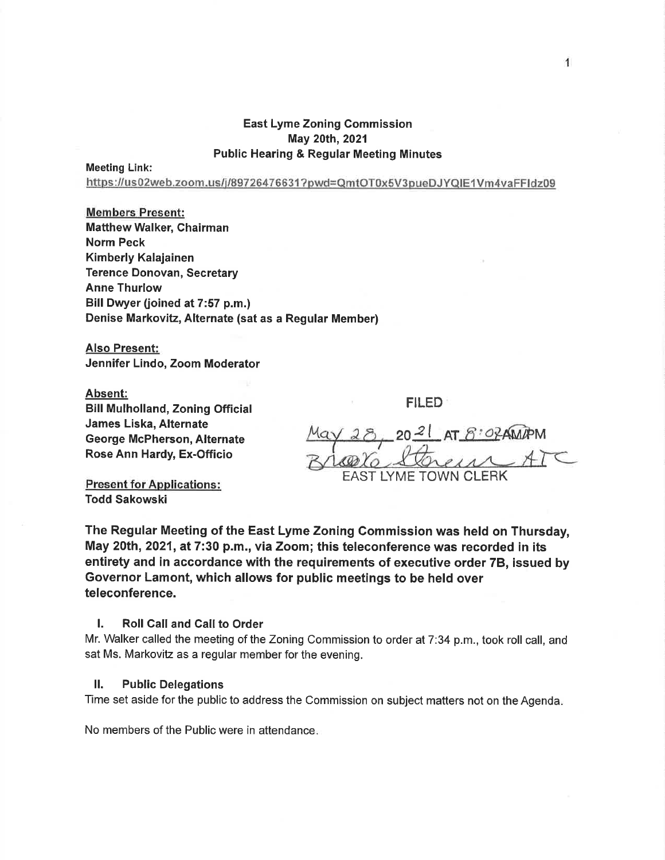## East Lyme Zoning Commission May 20th,2021 Public Hearing & Regular Meeting Minutes

Meeting Link:

https://us02web.zoom.us/j/89726476631?pwd=QmtOT0x5V3pueDJYQlE1Vm4vaFFldz09

# Members Present:

**Matthew Walker, Chairman** Norm Peck Kimberly Kalajainen Terence Donovan, Secretary Anne Thurlow Bill Dwyer (joined at 7:57 p.m.) Denise Markovitz, Alternate (sat as a Regular Member)

Also Present: Jennifer Lindo, Zoom Moderator

#### Absent:

Bill Mulholland, Zoning Official James Liska, Alternate George McPherson, Alternate Rose Ann Hardy, Ex-Officio

EAST LYME TOWN CLERK 2021 AT 8:02AMAPM

FILED

Present for Applications: Todd Sakowski

The Regular Meeting of the East Lyme Zoning Commission was held on Thursday, May 20th, 2021, at 7:30 p.m., via Zoom; this teleconference was recorded in its entirety and in accordance with the requirements of executive order 78, issued by Governor Lamont, which allows for public meetings to be held over teleconference.

## I. Roll Call and Call to Order

Mr. Walker called the meeting of the Zoning Commission to order at 7:34 p.m., took roll call, and sat Ms. Markovitz as a regular member for the evening.

#### ll. Public Delegations

Time set aside for the public to address the Commission on subject matters not on the Agenda

No members of the Public were in attendance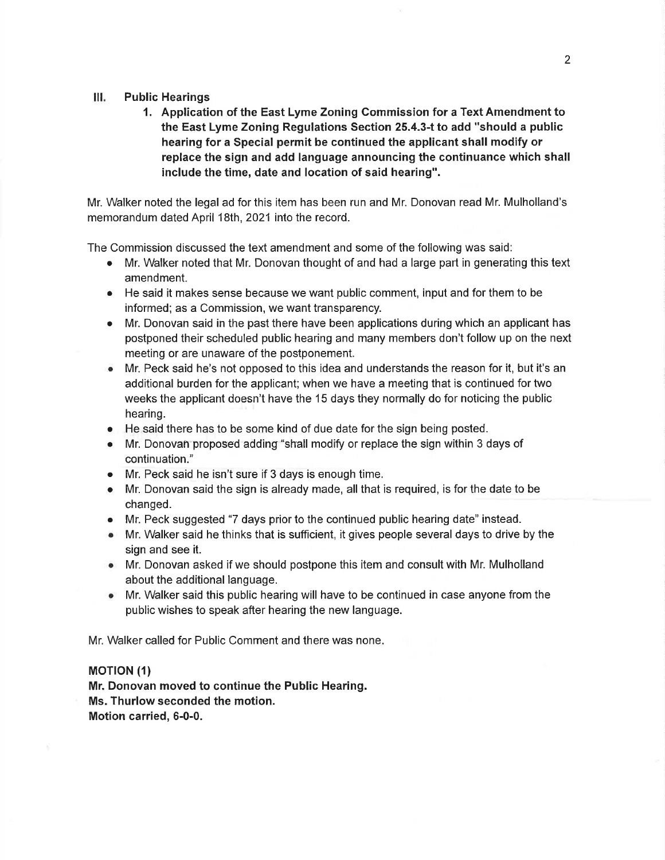#### III. Public Hearings

1. Application of the East Lyme Zoning Commission for a Text Amendment to the East Lyme Zoning Regulations Section 25.4.3-t to add "should a public hearing for a Special permit be continued the applicant shall modify or replace the sign and add language announcing the continuance which shall include the time, date and location of said hearing".

Mr. Walker noted the legal ad for this item has been run and Mr. Donovan read Mr. Mulholland's memorandum dated April 18th, 2021 into the record.

The Commission discussed the text amendment and some of the following was said:

- Mr. Walker noted that Mr. Donovan thought of and had a large part in generating this text amendment.
- o He said it makes sense because we want public comment, input and for them to be informed; as a Commission, we want transparency.
- Mr. Donovan said in the past there have been applications during which an applicant has postponed their scheduled public hearing and many members don't follow up on the next meeting or are unaware of the postponement.
- $\bullet$  Mr. Peck said he's not opposed to this idea and understands the reason for it, but it's an additional burden for the applicant; when we have a meeting that is continued for two weeks the applicant doesn't have the 15 days they normally do for noticing the public hearing.
- o He said there has to be some kind of due date for the sign being posted.
- o Mr. Donovan proposed adding "shall modify or replace the sign within 3 days of continuation."
- o Mr. Peck said he isn't sure if 3 days is enough time.
- Mr. Donovan said the sign is already made, all that is required, is for the date to be changed.
- o Mr. Peck suggested "7 days prior to the continued public hearing date" instead.
- $\bullet$  Mr. Walker said he thinks that is sufficient, it gives people several days to drive by the sign and see it.
- o Mr. Donovan asked if we should postpone this item and consult with Mr. Mulholland about the additional language.
- $\bullet$  Mr. Walker said this public hearing will have to be continued in case anyone from the public wishes to speak after hearing the new language.

Mr. Walker called for Public Comment and there was none

## **MOTION (1)**

Mr. Donovan moved to continue the Public Hearing. Ms. Thurlow seconded the motion. Motion carried, 6-0-0.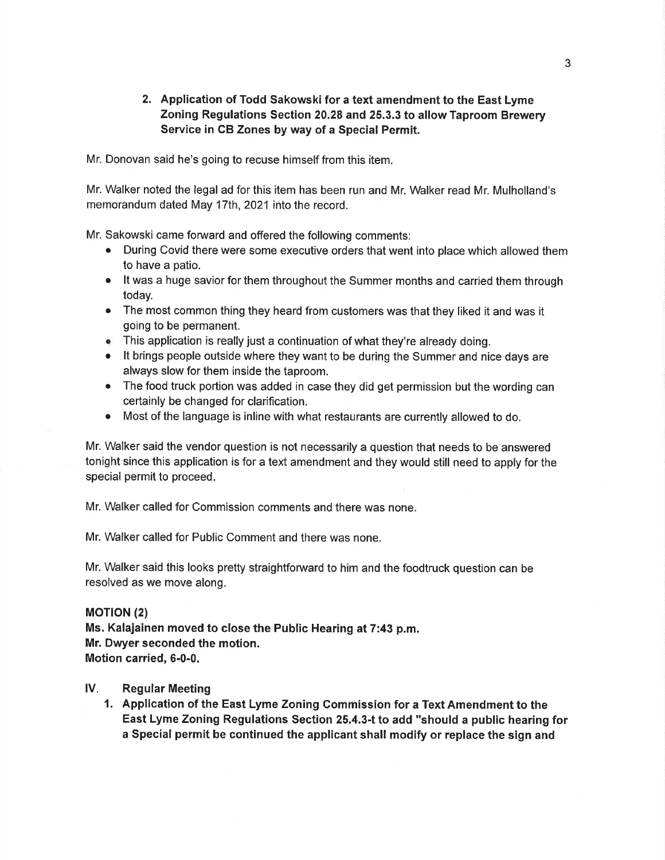# 2. Application of Todd Sakowski for a text amendment to the East Lyme Zoning Regulations Section 20.28 and 25.3.3 to allow Taproom Brewery Service in CB Zones by way of a Special Permit.

Mr. Donovan said he's going to recuse himself from this item.

Mr. Walker noted the legal ad for this item has been run and Mr. Walker read Mr. Mulholland's memorandum dated May 17th, 2021 into the record.

Mr. Sakowski came forward and offered the following comments:

- During Covid there were some executive orders that went into place which allowed them to have a patio.
- It was a huge savior for them throughout the Summer months and carried them through today.
- The most common thing they heard from customers was that they liked it and was it going to be permanent.
- o This application is really just a continuation of what they're already doing.
- It brings people outside where they want to be during the Summer and nice days are always slow for them inside the taproom.
- The food truck portion was added in case they did get permission but the wording can certainly be changed for clarification.
- Most of the language is inline with what restaurants are currently allowed to do.

Mr. Walker said the vendor question is not necessarily a question that needs to be answered tonight since this application is for a text amendment and they would still need to apply for the special permit to proceed.

Mr. Walker called for Commission comments and there was none.

Mr. Walker called for Public Comment and there was none.

Mr. Walker said this looks pretty straightfonrvard to him and the foodtruck question can be resolved as we move along.

#### **MOTION** (2)

Ms. Kalajainen moved to close the Public Hearing at 7:43 p.m. Mr. Dwyer seconded the motion. Motion carried, 6-0-0.

#### lV. Regular Meeting

1. Application of the East Lyme Zoning Commission for a Text Amendment to the East Lyme Zoning Regulations Section 25.4.3-t to add "should a public hearing for a Special permit be continued the applicant shall modify or replace the sign and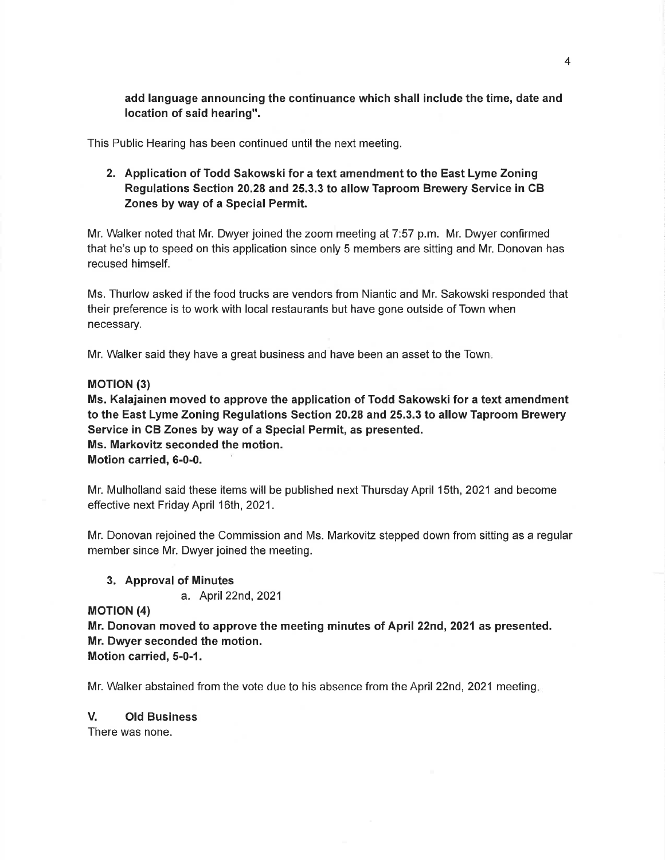add language announcing the continuance which shall include the time, date and location of said hearing".

This Public Hearing has been continued until the next meeting.

2. Application of Todd Sakowski for a text amendment to the East Lyme Zoning Regulations Section 20.28 and 25.3.3 to allow Taproom Brewery Service in CB Zones by way of a Special Permit.

Mr. Walker noted that Mr. Dwyer joined the zoom meeting at 7:57 p.m. Mr. Dwyer confirmed that he's up to speed on this application since only 5 members are sitting and Mr. Donovan has recused himself.

Ms. Thurlow asked if the food trucks are vendors from Niantic and Mr. Sakowski responded that their preference is to work with local restaurants but have gone outside of Town when necessary.

Mr. Walker said they have a great business and have been an asset to the Town

#### **MOTION (3)**

Ms. Kalajainen moved to approve the application of Todd Sakowski for a text amendment to the East Lyme Zoning Regulations Section 20.28 and 25.3.3 to allow Taproom Brewery Service in CB Zones by way of a Special Permit, as presented. Ms. Markovitz seconded the motion. Motion carried, 6-0-0.

Mr. Mulholland said these items will be published next Thursday April 15th, 2021 and become effective next Friday April 16th, 2021.

Mr. Donovan rejoined the Commission and Ms. Markovitz stepped down from sitting as a regular member since Mr. Dwyer joined the meeting.

3. Approval of Minutes

a. April22nd,2021

**MOTION (4)** 

Mr. Donovan moved to approve the meeting minutes of April 22nd, 2021 as presented. Mr. Dwyer seconded the motion.

Motion carried, 5-0-1.

Mr. Walker abstained from the vote due to his absence from the April 22nd, 2021 meeting.

## V. Old Business

There was none.